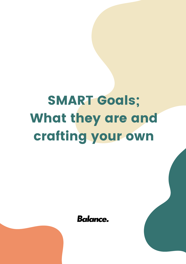## **SMART Goals;** What they are and crafting your own

**Balance.**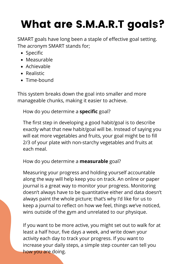## What are S.M.A.R.T goals?

SMART goals have long been a staple of effective goal setting. The acronym SMART stands for;

- Specific
- Measurable
- Achievable
- Realistic
- Time-bound

This system breaks down the goal into smaller and more manageable chunks, making it easier to achieve.

How do you determine a **specific** goal?

The first step in developing a good habit/goal is to describe exactly what that new habit/goal will be. Instead of saying you will eat more vegetables and fruits, your goal might be to fill 2/3 of your plate with non-starchy vegetables and fruits at each meal.

## How do you determine a **measurable** goal?

Measuring your progress and holding yourself accountable along the way will help keep you on track. An online or paper journal is a great way to monitor your progress. Monitoring doesn't always have to be quantitative either and data doesn't always paint the whole picture; that's why I'd like for us to keep a journal to reflect on how we feel, things we've noticed, wins outside of the gym and unrelated to our physique.

If you want to be more active, you might set out to walk for at least a half hour, five days a week, and write down your activity each day to track your progress. If you want to increase your daily steps, a simple step counter can tell you how you are doing.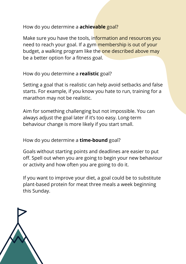How do you determine a **achievable** goal?

Make sure you have the tools, information and resources you need to reach your goal. If a gym membership is out of your budget, a walking program like the one described above may be a better option for a fitness goal.

How do you determine a **realistic** goal?

Setting a goal that is realistic can help avoid setbacks and false starts. For example, if you know you hate to run, training for a marathon may not be realistic.

Aim for something challenging but not impossible. You can always adjust the goal later if it's too easy. Long-term behaviour change is more likely if you start small.

How do you determine a **time-bound** goal?

Goals without starting points and deadlines are easier to put off. Spell out when you are going to begin your new behaviour or activity and how often you are going to do it.

If you want to improve your diet, a goal could be to substitute plant-based protein for meat three meals a week beginning this Sunday.

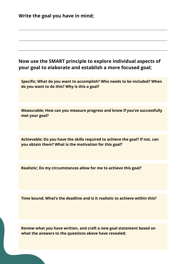| Write the goal you have in mind;                                                                                                       |
|----------------------------------------------------------------------------------------------------------------------------------------|
|                                                                                                                                        |
| Now use the SMART principle to explore individual aspects of<br>your goal to elaborate and establish a more focused goal;              |
| Specific; What do you want to accomplish? Who needs to be included? When<br>do you want to do this? Why is this a goal?                |
| Measurable; How can you measure progress and know if you've successfully<br>met your goal?                                             |
| Achievable; Do you have the skills required to achieve the goal? If not, can<br>you obtain them? What is the motivation for this goal? |
| Realistic; Do my circumstances allow for me to achieve this goal?                                                                      |
| Time bound; What's the deadline and is it realistic to achieve within this?                                                            |

**Review what you have written, and craft a new goal statement based on what the answers to the questions above have revealed;**